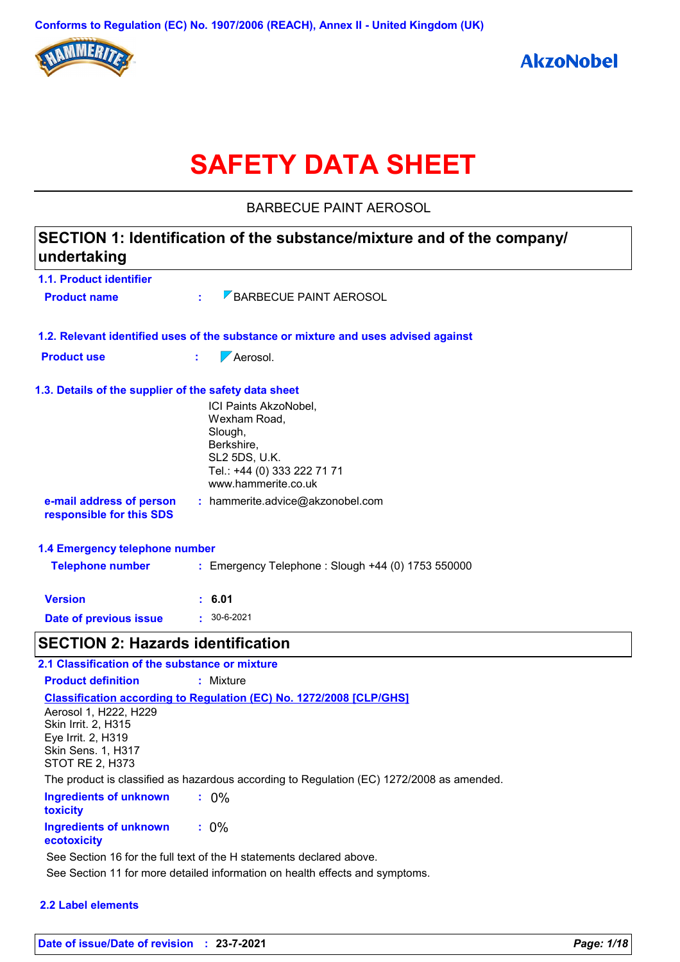

# **SAFETY DATA SHEET**

BARBECUE PAINT AEROSOL

| SECTION 1: Identification of the substance/mixture and of the company/<br>undertaking |                                                                                                                                              |  |
|---------------------------------------------------------------------------------------|----------------------------------------------------------------------------------------------------------------------------------------------|--|
| 1.1. Product identifier                                                               |                                                                                                                                              |  |
| <b>Product name</b>                                                                   | <b>BARBECUE PAINT AEROSOL</b><br>÷.                                                                                                          |  |
|                                                                                       | 1.2. Relevant identified uses of the substance or mixture and uses advised against                                                           |  |
| <b>Product use</b>                                                                    | $\nabla$ Aerosol.<br>÷.                                                                                                                      |  |
| 1.3. Details of the supplier of the safety data sheet                                 |                                                                                                                                              |  |
|                                                                                       | ICI Paints AkzoNobel,<br>Wexham Road,<br>Slough,<br>Berkshire,<br><b>SL2 5DS, U.K.</b><br>Tel.: +44 (0) 333 222 71 71<br>www.hammerite.co.uk |  |
| e-mail address of person<br>responsible for this SDS                                  | : hammerite.advice@akzonobel.com                                                                                                             |  |
| 1.4 Emergency telephone number                                                        |                                                                                                                                              |  |
| <b>Telephone number</b>                                                               | : Emergency Telephone : Slough +44 (0) 1753 550000                                                                                           |  |
| <b>Version</b>                                                                        | : 6.01                                                                                                                                       |  |
| <b>Date of previous issue</b>                                                         | $: 30 - 6 - 2021$                                                                                                                            |  |
| <b>SECTION 2: Hazards identification</b>                                              |                                                                                                                                              |  |
| 2.1 Classification of the substance or mixture                                        |                                                                                                                                              |  |
| <b>Product definition</b>                                                             | : Mixture                                                                                                                                    |  |
|                                                                                       | Classification according to Requistion (EC) No. 1272/2008 [CLR]CHS1                                                                          |  |

**Classification according to Regulation (EC) No. 1272/2008 [CLP/GHS]** Aerosol 1, H222, H229 Skin Irrit. 2, H315 Eye Irrit. 2, H319 Skin Sens. 1, H317 STOT RE 2, H373 The product is classified as hazardous according to Regulation (EC) 1272/2008 as amended.

**Ingredients of unknown toxicity :** 0% **Ingredients of unknown :** 0%

**ecotoxicity**

See Section 16 for the full text of the H statements declared above.

See Section 11 for more detailed information on health effects and symptoms.

### **2.2 Label elements**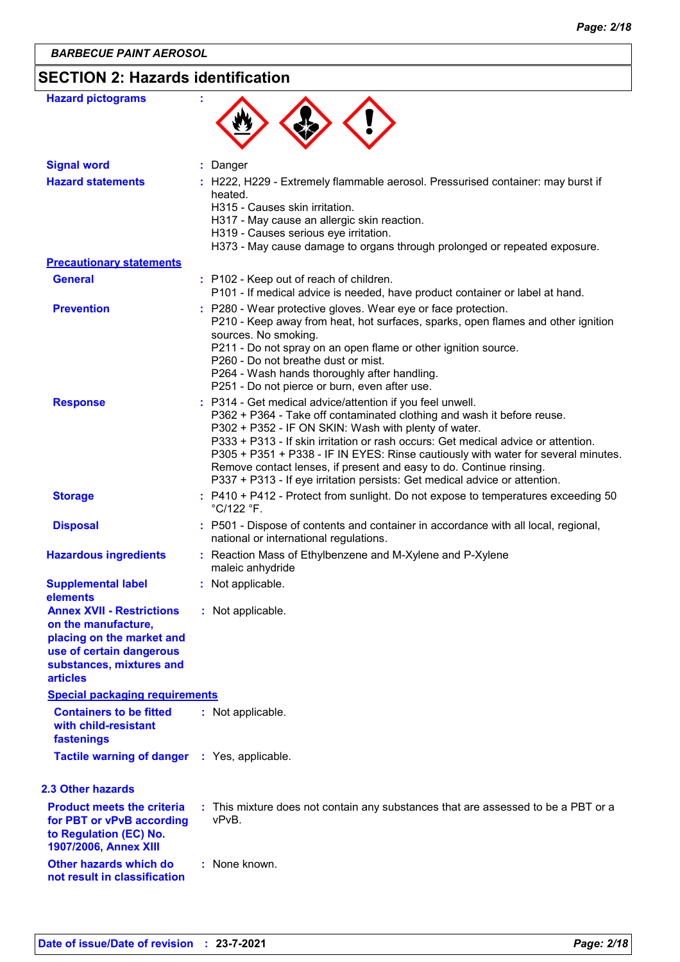# **SECTION 2: Hazards identification**

| <b>Hazard pictograms</b>                                                                                                                                        |                                                                                                                                                                                                                                                                                                                                                                                                                                                                                                                            |
|-----------------------------------------------------------------------------------------------------------------------------------------------------------------|----------------------------------------------------------------------------------------------------------------------------------------------------------------------------------------------------------------------------------------------------------------------------------------------------------------------------------------------------------------------------------------------------------------------------------------------------------------------------------------------------------------------------|
| <b>Signal word</b>                                                                                                                                              | : Danger                                                                                                                                                                                                                                                                                                                                                                                                                                                                                                                   |
| <b>Hazard statements</b>                                                                                                                                        | : H222, H229 - Extremely flammable aerosol. Pressurised container: may burst if<br>heated.<br>H315 - Causes skin irritation.<br>H317 - May cause an allergic skin reaction.<br>H319 - Causes serious eye irritation.<br>H373 - May cause damage to organs through prolonged or repeated exposure.                                                                                                                                                                                                                          |
| <b>Precautionary statements</b>                                                                                                                                 |                                                                                                                                                                                                                                                                                                                                                                                                                                                                                                                            |
| <b>General</b>                                                                                                                                                  | : P102 - Keep out of reach of children.<br>P101 - If medical advice is needed, have product container or label at hand.                                                                                                                                                                                                                                                                                                                                                                                                    |
| <b>Prevention</b>                                                                                                                                               | : P280 - Wear protective gloves. Wear eye or face protection.<br>P210 - Keep away from heat, hot surfaces, sparks, open flames and other ignition<br>sources. No smoking.<br>P211 - Do not spray on an open flame or other ignition source.<br>P260 - Do not breathe dust or mist.<br>P264 - Wash hands thoroughly after handling.<br>P251 - Do not pierce or burn, even after use.                                                                                                                                        |
| <b>Response</b>                                                                                                                                                 | : P314 - Get medical advice/attention if you feel unwell.<br>P362 + P364 - Take off contaminated clothing and wash it before reuse.<br>P302 + P352 - IF ON SKIN: Wash with plenty of water.<br>P333 + P313 - If skin irritation or rash occurs: Get medical advice or attention.<br>P305 + P351 + P338 - IF IN EYES: Rinse cautiously with water for several minutes.<br>Remove contact lenses, if present and easy to do. Continue rinsing.<br>P337 + P313 - If eye irritation persists: Get medical advice or attention. |
| <b>Storage</b>                                                                                                                                                  | : P410 + P412 - Protect from sunlight. Do not expose to temperatures exceeding 50<br>°C/122 °F.                                                                                                                                                                                                                                                                                                                                                                                                                            |
| <b>Disposal</b>                                                                                                                                                 | : P501 - Dispose of contents and container in accordance with all local, regional,<br>national or international regulations.                                                                                                                                                                                                                                                                                                                                                                                               |
| <b>Hazardous ingredients</b>                                                                                                                                    | Reaction Mass of Ethylbenzene and M-Xylene and P-Xylene<br>maleic anhydride                                                                                                                                                                                                                                                                                                                                                                                                                                                |
| <b>Supplemental label</b><br>elements                                                                                                                           | : Not applicable.                                                                                                                                                                                                                                                                                                                                                                                                                                                                                                          |
| <b>Annex XVII - Restrictions</b><br>on the manufacture,<br>placing on the market and<br>use of certain dangerous<br>substances, mixtures and<br><b>articles</b> | : Not applicable.                                                                                                                                                                                                                                                                                                                                                                                                                                                                                                          |
| <b>Special packaging requirements</b>                                                                                                                           |                                                                                                                                                                                                                                                                                                                                                                                                                                                                                                                            |
| <b>Containers to be fitted</b><br>with child-resistant<br>fastenings                                                                                            | : Not applicable.                                                                                                                                                                                                                                                                                                                                                                                                                                                                                                          |
| <b>Tactile warning of danger : Yes, applicable.</b>                                                                                                             |                                                                                                                                                                                                                                                                                                                                                                                                                                                                                                                            |
| 2.3 Other hazards                                                                                                                                               |                                                                                                                                                                                                                                                                                                                                                                                                                                                                                                                            |
| <b>Product meets the criteria</b><br>for PBT or vPvB according<br>to Regulation (EC) No.<br>1907/2006, Annex XIII                                               | : This mixture does not contain any substances that are assessed to be a PBT or a<br>vPvB.                                                                                                                                                                                                                                                                                                                                                                                                                                 |
| Other hazards which do<br>not result in classification                                                                                                          | : None known.                                                                                                                                                                                                                                                                                                                                                                                                                                                                                                              |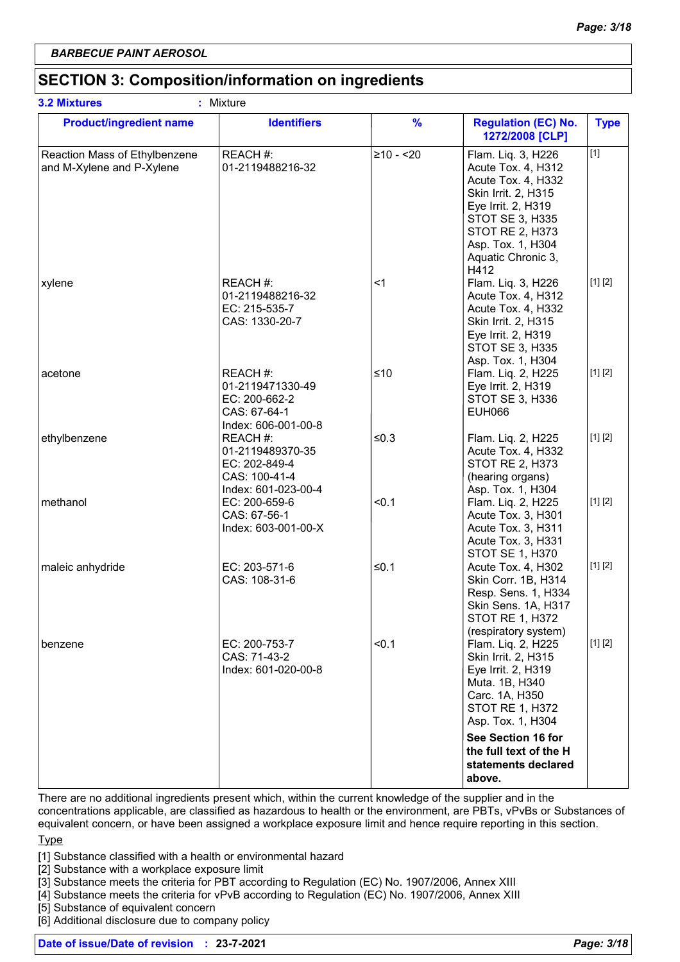# **SECTION 3: Composition/information on ingredients**

| <b>Product/ingredient name</b>                             | <b>Identifiers</b>                                                                    | $\frac{9}{6}$ | <b>Regulation (EC) No.</b><br>1272/2008 [CLP]                                                                                                                                                               | <b>Type</b> |
|------------------------------------------------------------|---------------------------------------------------------------------------------------|---------------|-------------------------------------------------------------------------------------------------------------------------------------------------------------------------------------------------------------|-------------|
| Reaction Mass of Ethylbenzene<br>and M-Xylene and P-Xylene | REACH #:<br>01-2119488216-32                                                          | $≥10 - 20$    | Flam. Liq. 3, H226<br>Acute Tox. 4, H312<br>Acute Tox. 4, H332<br>Skin Irrit. 2, H315<br>Eye Irrit. 2, H319<br><b>STOT SE 3, H335</b><br>STOT RE 2, H373<br>Asp. Tox. 1, H304<br>Aquatic Chronic 3,<br>H412 | $[1]$       |
| xylene                                                     | REACH #:<br>01-2119488216-32<br>EC: 215-535-7<br>CAS: 1330-20-7                       | <1            | Flam. Liq. 3, H226<br>Acute Tox. 4, H312<br>Acute Tox. 4, H332<br>Skin Irrit. 2, H315<br>Eye Irrit. 2, H319<br>STOT SE 3, H335<br>Asp. Tox. 1, H304                                                         | [1] [2]     |
| acetone                                                    | REACH #:<br>01-2119471330-49<br>EC: 200-662-2<br>CAS: 67-64-1<br>Index: 606-001-00-8  | $≤10$         | Flam. Liq. 2, H225<br>Eye Irrit. 2, H319<br><b>STOT SE 3, H336</b><br><b>EUH066</b>                                                                                                                         | [1] [2]     |
| ethylbenzene                                               | REACH #:<br>01-2119489370-35<br>EC: 202-849-4<br>CAS: 100-41-4<br>Index: 601-023-00-4 | $≤0.3$        | Flam. Liq. 2, H225<br>Acute Tox. 4, H332<br><b>STOT RE 2, H373</b><br>(hearing organs)<br>Asp. Tox. 1, H304                                                                                                 | [1] [2]     |
| methanol                                                   | EC: 200-659-6<br>CAS: 67-56-1<br>Index: 603-001-00-X                                  | < 0.1         | Flam. Liq. 2, H225<br>Acute Tox. 3, H301<br>Acute Tox. 3, H311<br>Acute Tox. 3, H331<br>STOT SE 1, H370                                                                                                     | [1] [2]     |
| maleic anhydride                                           | EC: 203-571-6<br>CAS: 108-31-6                                                        | $≤0.1$        | Acute Tox. 4, H302<br>Skin Corr. 1B, H314<br>Resp. Sens. 1, H334<br>Skin Sens. 1A, H317<br><b>STOT RE 1, H372</b><br>(respiratory system)                                                                   | [1] [2]     |
| benzene                                                    | EC: 200-753-7<br>CAS: 71-43-2<br>Index: 601-020-00-8                                  | < 0.1         | Flam. Liq. 2, H225<br>Skin Irrit. 2, H315<br>Eye Irrit. 2, H319<br>Muta. 1B, H340<br>Carc. 1A, H350<br>STOT RE 1, H372<br>Asp. Tox. 1, H304<br>See Section 16 for                                           | [1] [2]     |
|                                                            |                                                                                       |               | the full text of the H<br>statements declared<br>above.                                                                                                                                                     |             |

There are no additional ingredients present which, within the current knowledge of the supplier and in the

concentrations applicable, are classified as hazardous to health or the environment, are PBTs, vPvBs or Substances of equivalent concern, or have been assigned a workplace exposure limit and hence require reporting in this section.

### **Type**

[1] Substance classified with a health or environmental hazard

[2] Substance with a workplace exposure limit

[3] Substance meets the criteria for PBT according to Regulation (EC) No. 1907/2006, Annex XIII

[4] Substance meets the criteria for vPvB according to Regulation (EC) No. 1907/2006, Annex XIII

[5] Substance of equivalent concern

[6] Additional disclosure due to company policy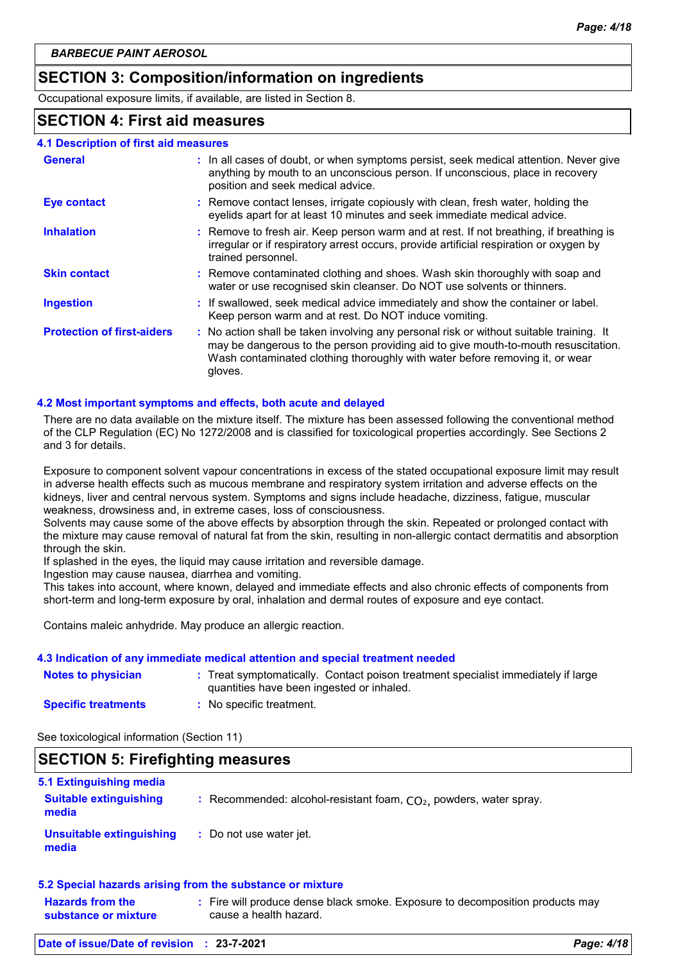# **SECTION 3: Composition/information on ingredients**

Occupational exposure limits, if available, are listed in Section 8.

### **SECTION 4: First aid measures**

| <b>4.1 Description of first aid measures</b> |                                                                                                                                                                                                                                                                          |
|----------------------------------------------|--------------------------------------------------------------------------------------------------------------------------------------------------------------------------------------------------------------------------------------------------------------------------|
| <b>General</b>                               | : In all cases of doubt, or when symptoms persist, seek medical attention. Never give<br>anything by mouth to an unconscious person. If unconscious, place in recovery<br>position and seek medical advice.                                                              |
| <b>Eye contact</b>                           | : Remove contact lenses, irrigate copiously with clean, fresh water, holding the<br>eyelids apart for at least 10 minutes and seek immediate medical advice.                                                                                                             |
| <b>Inhalation</b>                            | : Remove to fresh air. Keep person warm and at rest. If not breathing, if breathing is<br>irregular or if respiratory arrest occurs, provide artificial respiration or oxygen by<br>trained personnel.                                                                   |
| <b>Skin contact</b>                          | : Remove contaminated clothing and shoes. Wash skin thoroughly with soap and<br>water or use recognised skin cleanser. Do NOT use solvents or thinners.                                                                                                                  |
| <b>Ingestion</b>                             | : If swallowed, seek medical advice immediately and show the container or label.<br>Keep person warm and at rest. Do NOT induce vomiting.                                                                                                                                |
| <b>Protection of first-aiders</b>            | : No action shall be taken involving any personal risk or without suitable training. It<br>may be dangerous to the person providing aid to give mouth-to-mouth resuscitation.<br>Wash contaminated clothing thoroughly with water before removing it, or wear<br>gloves. |

### **4.2 Most important symptoms and effects, both acute and delayed**

There are no data available on the mixture itself. The mixture has been assessed following the conventional method of the CLP Regulation (EC) No 1272/2008 and is classified for toxicological properties accordingly. See Sections 2 and 3 for details.

Exposure to component solvent vapour concentrations in excess of the stated occupational exposure limit may result in adverse health effects such as mucous membrane and respiratory system irritation and adverse effects on the kidneys, liver and central nervous system. Symptoms and signs include headache, dizziness, fatigue, muscular weakness, drowsiness and, in extreme cases, loss of consciousness.

Solvents may cause some of the above effects by absorption through the skin. Repeated or prolonged contact with the mixture may cause removal of natural fat from the skin, resulting in non-allergic contact dermatitis and absorption through the skin.

If splashed in the eyes, the liquid may cause irritation and reversible damage.

Ingestion may cause nausea, diarrhea and vomiting.

This takes into account, where known, delayed and immediate effects and also chronic effects of components from short-term and long-term exposure by oral, inhalation and dermal routes of exposure and eye contact.

Contains maleic anhydride. May produce an allergic reaction.

### **4.3 Indication of any immediate medical attention and special treatment needed**

| <b>Notes to physician</b>  | : Treat symptomatically. Contact poison treatment specialist immediately if large<br>quantities have been ingested or inhaled. |
|----------------------------|--------------------------------------------------------------------------------------------------------------------------------|
| <b>Specific treatments</b> | No specific treatment.                                                                                                         |

See toxicological information (Section 11)

# **SECTION 5: Firefighting measures**

| 5.1 Extinguishing media                  |                                                                      |
|------------------------------------------|----------------------------------------------------------------------|
| <b>Suitable extinguishing</b><br>media   | : Recommended: alcohol-resistant foam, $CO2$ , powders, water spray. |
| <b>Unsuitable extinguishing</b><br>media | : Do not use water jet.                                              |
|                                          | 5.2 Special hazards arising from the substance or mixture            |

| <u>The thought makes we writing nominally capacities of mixture</u> |  |                                                                                                         |
|---------------------------------------------------------------------|--|---------------------------------------------------------------------------------------------------------|
| <b>Hazards from the</b><br>substance or mixture                     |  | : Fire will produce dense black smoke. Exposure to decomposition products may<br>cause a health hazard. |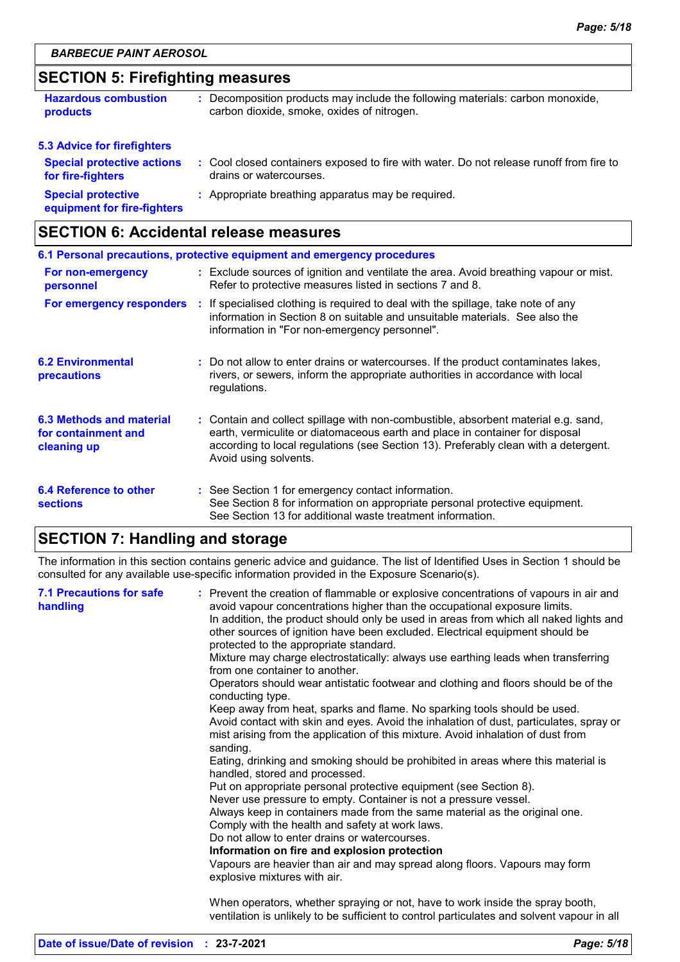# **SECTION 5: Firefighting measures**

| <b>Hazardous combustion</b>                              | Decomposition products may include the following materials: carbon monoxide,            |
|----------------------------------------------------------|-----------------------------------------------------------------------------------------|
| products                                                 | carbon dioxide, smoke, oxides of nitrogen.                                              |
| <b>5.3 Advice for firefighters</b>                       |                                                                                         |
| <b>Special protective actions</b>                        | : Cool closed containers exposed to fire with water. Do not release runoff from fire to |
| for fire-fighters                                        | drains or watercourses.                                                                 |
| <b>Special protective</b><br>equipment for fire-fighters | : Appropriate breathing apparatus may be required.                                      |

# **SECTION 6: Accidental release measures**

| 6.1 Personal precautions, protective equipment and emergency procedures |  |                                                                                                                                                                                                                                                                                    |  |
|-------------------------------------------------------------------------|--|------------------------------------------------------------------------------------------------------------------------------------------------------------------------------------------------------------------------------------------------------------------------------------|--|
| For non-emergency<br>personnel                                          |  | : Exclude sources of ignition and ventilate the area. Avoid breathing vapour or mist.<br>Refer to protective measures listed in sections 7 and 8.                                                                                                                                  |  |
| For emergency responders                                                |  | t If specialised clothing is required to deal with the spillage, take note of any<br>information in Section 8 on suitable and unsuitable materials. See also the<br>information in "For non-emergency personnel".                                                                  |  |
| <b>6.2 Environmental</b><br>precautions                                 |  | : Do not allow to enter drains or watercourses. If the product contaminates lakes,<br>rivers, or sewers, inform the appropriate authorities in accordance with local<br>regulations.                                                                                               |  |
| 6.3 Methods and material<br>for containment and<br>cleaning up          |  | : Contain and collect spillage with non-combustible, absorbent material e.g. sand,<br>earth, vermiculite or diatomaceous earth and place in container for disposal<br>according to local regulations (see Section 13). Preferably clean with a detergent.<br>Avoid using solvents. |  |
| 6.4 Reference to other<br><b>sections</b>                               |  | : See Section 1 for emergency contact information.<br>See Section 8 for information on appropriate personal protective equipment.<br>See Section 13 for additional waste treatment information.                                                                                    |  |

# **SECTION 7: Handling and storage**

The information in this section contains generic advice and guidance. The list of Identified Uses in Section 1 should be consulted for any available use-specific information provided in the Exposure Scenario(s).

| <b>7.1 Precautions for safe</b><br>handling | : Prevent the creation of flammable or explosive concentrations of vapours in air and<br>avoid vapour concentrations higher than the occupational exposure limits.<br>In addition, the product should only be used in areas from which all naked lights and<br>other sources of ignition have been excluded. Electrical equipment should be<br>protected to the appropriate standard.<br>Mixture may charge electrostatically: always use earthing leads when transferring<br>from one container to another.<br>Operators should wear antistatic footwear and clothing and floors should be of the<br>conducting type.<br>Keep away from heat, sparks and flame. No sparking tools should be used.<br>Avoid contact with skin and eyes. Avoid the inhalation of dust, particulates, spray or<br>mist arising from the application of this mixture. Avoid inhalation of dust from<br>sanding.<br>Eating, drinking and smoking should be prohibited in areas where this material is<br>handled, stored and processed.<br>Put on appropriate personal protective equipment (see Section 8).<br>Never use pressure to empty. Container is not a pressure vessel.<br>Always keep in containers made from the same material as the original one.<br>Comply with the health and safety at work laws.<br>Do not allow to enter drains or watercourses.<br>Information on fire and explosion protection<br>Vapours are heavier than air and may spread along floors. Vapours may form<br>explosive mixtures with air. |
|---------------------------------------------|--------------------------------------------------------------------------------------------------------------------------------------------------------------------------------------------------------------------------------------------------------------------------------------------------------------------------------------------------------------------------------------------------------------------------------------------------------------------------------------------------------------------------------------------------------------------------------------------------------------------------------------------------------------------------------------------------------------------------------------------------------------------------------------------------------------------------------------------------------------------------------------------------------------------------------------------------------------------------------------------------------------------------------------------------------------------------------------------------------------------------------------------------------------------------------------------------------------------------------------------------------------------------------------------------------------------------------------------------------------------------------------------------------------------------------------------------------------------------------------------------------------|
|                                             | When operators, whether spraying or not, have to work inside the spray booth,<br>ventilation is unlikely to be sufficient to control particulates and solvent vapour in all                                                                                                                                                                                                                                                                                                                                                                                                                                                                                                                                                                                                                                                                                                                                                                                                                                                                                                                                                                                                                                                                                                                                                                                                                                                                                                                                  |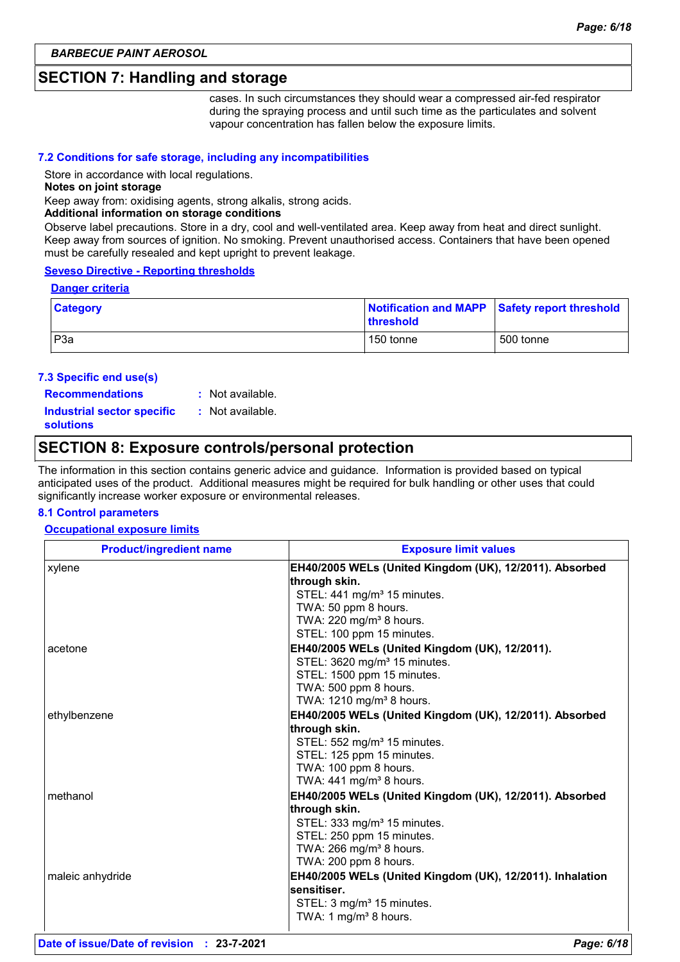### **SECTION 7: Handling and storage**

cases. In such circumstances they should wear a compressed air-fed respirator during the spraying process and until such time as the particulates and solvent vapour concentration has fallen below the exposure limits.

### **7.2 Conditions for safe storage, including any incompatibilities**

Store in accordance with local regulations.

#### **Notes on joint storage**

Keep away from: oxidising agents, strong alkalis, strong acids.

#### **Additional information on storage conditions**

Observe label precautions. Store in a dry, cool and well-ventilated area. Keep away from heat and direct sunlight. Keep away from sources of ignition. No smoking. Prevent unauthorised access. Containers that have been opened must be carefully resealed and kept upright to prevent leakage.

#### **Seveso Directive - Reporting thresholds**

#### **Danger criteria**

| <b>Category</b>  | <b>threshold</b> | Notification and MAPP Safety report threshold |
|------------------|------------------|-----------------------------------------------|
| P <sub>3</sub> a | 150 tonne        | 500 tonne                                     |

#### **7.3 Specific end use(s)**

**Recommendations :**

: Not available. : Not available.

**Industrial sector specific : solutions**

# **SECTION 8: Exposure controls/personal protection**

The information in this section contains generic advice and guidance. Information is provided based on typical anticipated uses of the product. Additional measures might be required for bulk handling or other uses that could significantly increase worker exposure or environmental releases.

### **8.1 Control parameters**

#### **Occupational exposure limits**

| <b>Product/ingredient name</b> | <b>Exposure limit values</b>                                               |  |  |  |
|--------------------------------|----------------------------------------------------------------------------|--|--|--|
| xylene                         | EH40/2005 WELs (United Kingdom (UK), 12/2011). Absorbed                    |  |  |  |
|                                | through skin.                                                              |  |  |  |
|                                | STEL: 441 mg/m <sup>3</sup> 15 minutes.                                    |  |  |  |
|                                | TWA: 50 ppm 8 hours.                                                       |  |  |  |
|                                | TWA: 220 mg/m <sup>3</sup> 8 hours.                                        |  |  |  |
|                                | STEL: 100 ppm 15 minutes.                                                  |  |  |  |
| acetone                        | EH40/2005 WELs (United Kingdom (UK), 12/2011).                             |  |  |  |
|                                | STEL: 3620 mg/m <sup>3</sup> 15 minutes.                                   |  |  |  |
|                                | STEL: 1500 ppm 15 minutes.                                                 |  |  |  |
|                                | TWA: 500 ppm 8 hours.                                                      |  |  |  |
|                                | TWA: 1210 mg/m <sup>3</sup> 8 hours.                                       |  |  |  |
| ethylbenzene                   | EH40/2005 WELs (United Kingdom (UK), 12/2011). Absorbed                    |  |  |  |
|                                | through skin.                                                              |  |  |  |
|                                | STEL: 552 mg/m <sup>3</sup> 15 minutes.                                    |  |  |  |
|                                | STEL: 125 ppm 15 minutes.                                                  |  |  |  |
|                                | TWA: 100 ppm 8 hours.                                                      |  |  |  |
|                                | TWA: 441 mg/m <sup>3</sup> 8 hours.                                        |  |  |  |
| methanol                       | EH40/2005 WELs (United Kingdom (UK), 12/2011). Absorbed                    |  |  |  |
|                                | through skin.                                                              |  |  |  |
|                                | STEL: 333 mg/m <sup>3</sup> 15 minutes.                                    |  |  |  |
|                                | STEL: 250 ppm 15 minutes.<br>TWA: 266 mg/m <sup>3</sup> 8 hours.           |  |  |  |
|                                | TWA: 200 ppm 8 hours.                                                      |  |  |  |
| maleic anhydride               | EH40/2005 WELs (United Kingdom (UK), 12/2011). Inhalation                  |  |  |  |
|                                | sensitiser.                                                                |  |  |  |
|                                |                                                                            |  |  |  |
|                                | STEL: 3 mg/m <sup>3</sup> 15 minutes.<br>TWA: 1 mg/m <sup>3</sup> 8 hours. |  |  |  |
|                                |                                                                            |  |  |  |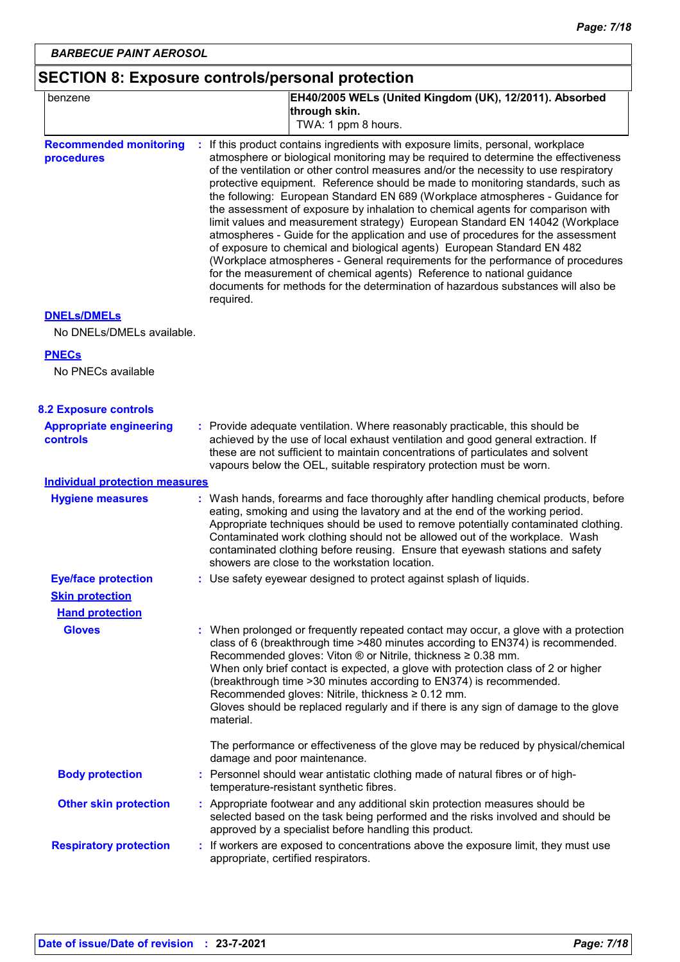# **SECTION 8: Exposure controls/personal protection**

| benzene                                           | EH40/2005 WELs (United Kingdom (UK), 12/2011). Absorbed<br>through skin.<br>TWA: 1 ppm 8 hours.                                                                                                                                                                                                                                                                                                                                                                                                                                                                                                                                                                                                                                                                                                                                                                                                                                                                                                                                  |
|---------------------------------------------------|----------------------------------------------------------------------------------------------------------------------------------------------------------------------------------------------------------------------------------------------------------------------------------------------------------------------------------------------------------------------------------------------------------------------------------------------------------------------------------------------------------------------------------------------------------------------------------------------------------------------------------------------------------------------------------------------------------------------------------------------------------------------------------------------------------------------------------------------------------------------------------------------------------------------------------------------------------------------------------------------------------------------------------|
| <b>Recommended monitoring</b><br>procedures       | If this product contains ingredients with exposure limits, personal, workplace<br>atmosphere or biological monitoring may be required to determine the effectiveness<br>of the ventilation or other control measures and/or the necessity to use respiratory<br>protective equipment. Reference should be made to monitoring standards, such as<br>the following: European Standard EN 689 (Workplace atmospheres - Guidance for<br>the assessment of exposure by inhalation to chemical agents for comparison with<br>limit values and measurement strategy) European Standard EN 14042 (Workplace<br>atmospheres - Guide for the application and use of procedures for the assessment<br>of exposure to chemical and biological agents) European Standard EN 482<br>(Workplace atmospheres - General requirements for the performance of procedures<br>for the measurement of chemical agents) Reference to national guidance<br>documents for methods for the determination of hazardous substances will also be<br>required. |
| <b>DNELS/DMELS</b>                                |                                                                                                                                                                                                                                                                                                                                                                                                                                                                                                                                                                                                                                                                                                                                                                                                                                                                                                                                                                                                                                  |
| No DNELs/DMELs available.                         |                                                                                                                                                                                                                                                                                                                                                                                                                                                                                                                                                                                                                                                                                                                                                                                                                                                                                                                                                                                                                                  |
| <b>PNECs</b>                                      |                                                                                                                                                                                                                                                                                                                                                                                                                                                                                                                                                                                                                                                                                                                                                                                                                                                                                                                                                                                                                                  |
| No PNECs available                                |                                                                                                                                                                                                                                                                                                                                                                                                                                                                                                                                                                                                                                                                                                                                                                                                                                                                                                                                                                                                                                  |
| <b>8.2 Exposure controls</b>                      |                                                                                                                                                                                                                                                                                                                                                                                                                                                                                                                                                                                                                                                                                                                                                                                                                                                                                                                                                                                                                                  |
| <b>Appropriate engineering</b><br><b>controls</b> | : Provide adequate ventilation. Where reasonably practicable, this should be<br>achieved by the use of local exhaust ventilation and good general extraction. If<br>these are not sufficient to maintain concentrations of particulates and solvent<br>vapours below the OEL, suitable respiratory protection must be worn.                                                                                                                                                                                                                                                                                                                                                                                                                                                                                                                                                                                                                                                                                                      |
| <b>Individual protection measures</b>             |                                                                                                                                                                                                                                                                                                                                                                                                                                                                                                                                                                                                                                                                                                                                                                                                                                                                                                                                                                                                                                  |
| <b>Hygiene measures</b>                           | : Wash hands, forearms and face thoroughly after handling chemical products, before<br>eating, smoking and using the lavatory and at the end of the working period.<br>Appropriate techniques should be used to remove potentially contaminated clothing.<br>Contaminated work clothing should not be allowed out of the workplace. Wash<br>contaminated clothing before reusing. Ensure that eyewash stations and safety<br>showers are close to the workstation location.                                                                                                                                                                                                                                                                                                                                                                                                                                                                                                                                                      |
| <b>Eye/face protection</b>                        | : Use safety eyewear designed to protect against splash of liquids.                                                                                                                                                                                                                                                                                                                                                                                                                                                                                                                                                                                                                                                                                                                                                                                                                                                                                                                                                              |
| <b>Skin protection</b>                            |                                                                                                                                                                                                                                                                                                                                                                                                                                                                                                                                                                                                                                                                                                                                                                                                                                                                                                                                                                                                                                  |
| <b>Hand protection</b>                            |                                                                                                                                                                                                                                                                                                                                                                                                                                                                                                                                                                                                                                                                                                                                                                                                                                                                                                                                                                                                                                  |
| <b>Gloves</b>                                     | : When prolonged or frequently repeated contact may occur, a glove with a protection<br>class of 6 (breakthrough time >480 minutes according to EN374) is recommended.<br>Recommended gloves: Viton ® or Nitrile, thickness ≥ 0.38 mm.<br>When only brief contact is expected, a glove with protection class of 2 or higher<br>(breakthrough time > 30 minutes according to EN374) is recommended.<br>Recommended gloves: Nitrile, thickness ≥ 0.12 mm.<br>Gloves should be replaced regularly and if there is any sign of damage to the glove<br>material.                                                                                                                                                                                                                                                                                                                                                                                                                                                                      |
|                                                   | The performance or effectiveness of the glove may be reduced by physical/chemical<br>damage and poor maintenance.                                                                                                                                                                                                                                                                                                                                                                                                                                                                                                                                                                                                                                                                                                                                                                                                                                                                                                                |
| <b>Body protection</b>                            | : Personnel should wear antistatic clothing made of natural fibres or of high-<br>temperature-resistant synthetic fibres.                                                                                                                                                                                                                                                                                                                                                                                                                                                                                                                                                                                                                                                                                                                                                                                                                                                                                                        |
| <b>Other skin protection</b>                      | : Appropriate footwear and any additional skin protection measures should be<br>selected based on the task being performed and the risks involved and should be<br>approved by a specialist before handling this product.                                                                                                                                                                                                                                                                                                                                                                                                                                                                                                                                                                                                                                                                                                                                                                                                        |
| <b>Respiratory protection</b>                     | : If workers are exposed to concentrations above the exposure limit, they must use<br>appropriate, certified respirators.                                                                                                                                                                                                                                                                                                                                                                                                                                                                                                                                                                                                                                                                                                                                                                                                                                                                                                        |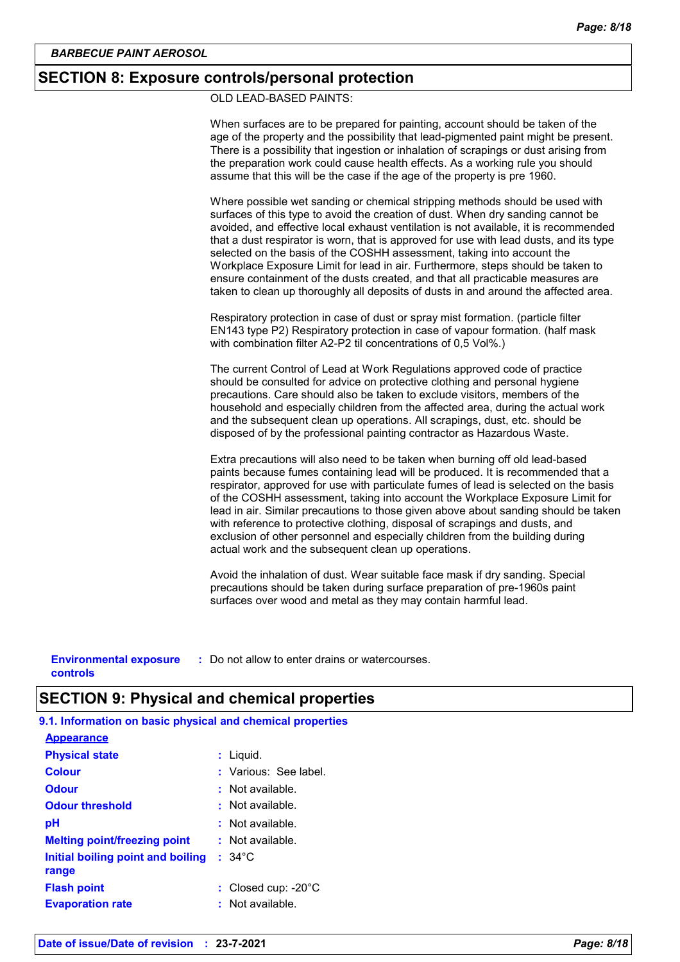### **SECTION 8: Exposure controls/personal protection**

OLD LEAD-BASED PAINTS:

When surfaces are to be prepared for painting, account should be taken of the age of the property and the possibility that lead-pigmented paint might be present. There is a possibility that ingestion or inhalation of scrapings or dust arising from the preparation work could cause health effects. As a working rule you should assume that this will be the case if the age of the property is pre 1960.

Where possible wet sanding or chemical stripping methods should be used with surfaces of this type to avoid the creation of dust. When dry sanding cannot be avoided, and effective local exhaust ventilation is not available, it is recommended that a dust respirator is worn, that is approved for use with lead dusts, and its type selected on the basis of the COSHH assessment, taking into account the Workplace Exposure Limit for lead in air. Furthermore, steps should be taken to ensure containment of the dusts created, and that all practicable measures are taken to clean up thoroughly all deposits of dusts in and around the affected area.

Respiratory protection in case of dust or spray mist formation. (particle filter EN143 type P2) Respiratory protection in case of vapour formation. (half mask with combination filter A2-P2 til concentrations of 0,5 Vol%.)

The current Control of Lead at Work Regulations approved code of practice should be consulted for advice on protective clothing and personal hygiene precautions. Care should also be taken to exclude visitors, members of the household and especially children from the affected area, during the actual work and the subsequent clean up operations. All scrapings, dust, etc. should be disposed of by the professional painting contractor as Hazardous Waste.

Extra precautions will also need to be taken when burning off old lead-based paints because fumes containing lead will be produced. It is recommended that a respirator, approved for use with particulate fumes of lead is selected on the basis of the COSHH assessment, taking into account the Workplace Exposure Limit for lead in air. Similar precautions to those given above about sanding should be taken with reference to protective clothing, disposal of scrapings and dusts, and exclusion of other personnel and especially children from the building during actual work and the subsequent clean up operations.

Avoid the inhalation of dust. Wear suitable face mask if dry sanding. Special precautions should be taken during surface preparation of pre-1960s paint surfaces over wood and metal as they may contain harmful lead.

**Environmental exposure :** Do not allow to enter drains or watercourses. **controls**

# **SECTION 9: Physical and chemical properties**

**9.1. Information on basic physical and chemical properties**

| : Liquid.                     |
|-------------------------------|
| : Various: See label.         |
| $:$ Not available.            |
| $\cdot$ Not available.        |
| $:$ Not available.            |
| : Not available.              |
| $: 34^{\circ}$ C              |
|                               |
| : Closed cup: $-20^{\circ}$ C |
| $:$ Not available.            |
|                               |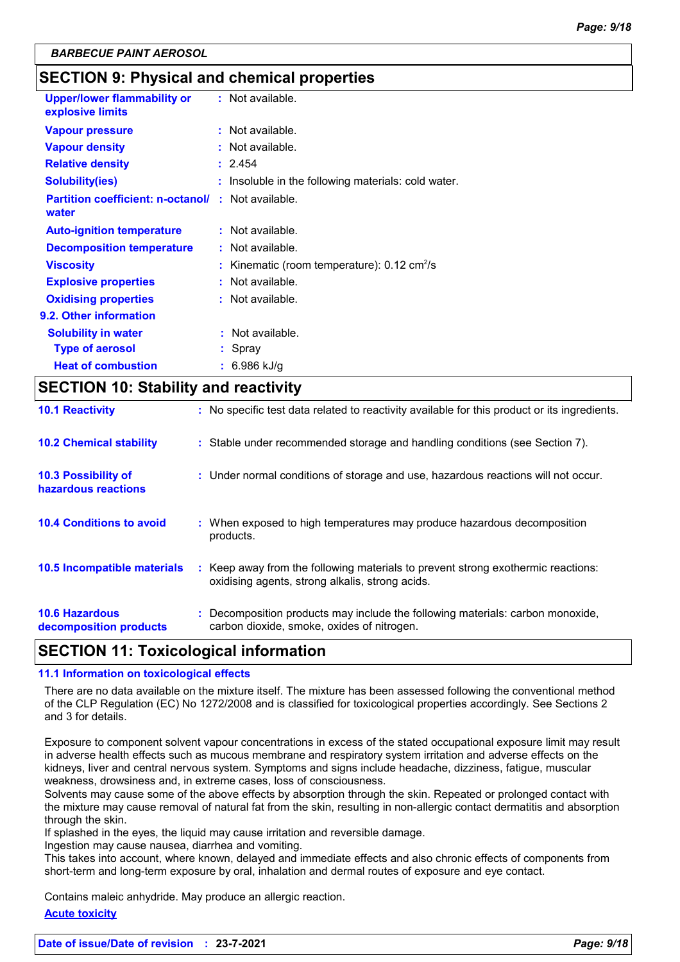# **SECTION 9: Physical and chemical properties**

| <b>Upper/lower flammability or</b><br>explosive limits | $:$ Not available.                                           |
|--------------------------------------------------------|--------------------------------------------------------------|
| <b>Vapour pressure</b>                                 | $:$ Not available.                                           |
| <b>Vapour density</b>                                  | : Not available.                                             |
| <b>Relative density</b>                                | : 2.454                                                      |
| Solubility(ies)                                        | Insoluble in the following materials: cold water.            |
| <b>Partition coefficient: n-octanol/</b><br>water      | : Not available.                                             |
| <b>Auto-ignition temperature</b>                       | $:$ Not available.                                           |
| <b>Decomposition temperature</b>                       | : Not available.                                             |
| <b>Viscosity</b>                                       | : Kinematic (room temperature): $0.12 \text{ cm}^2/\text{s}$ |
| <b>Explosive properties</b>                            | : Not available.                                             |
| <b>Oxidising properties</b>                            | : Not available.                                             |
| 9.2. Other information                                 |                                                              |
| <b>Solubility in water</b>                             | : Not available.                                             |
| <b>Type of aerosol</b>                                 | Spray                                                        |
| <b>Heat of combustion</b>                              | 6.986 kJ/g                                                   |
|                                                        |                                                              |

# **SECTION 10: Stability and reactivity**

| <b>10.6 Hazardous</b><br>decomposition products   | oxidising agents, strong alkalis, strong acids.<br>: Decomposition products may include the following materials: carbon monoxide,<br>carbon dioxide, smoke, oxides of nitrogen. |
|---------------------------------------------------|---------------------------------------------------------------------------------------------------------------------------------------------------------------------------------|
| 10.5 Incompatible materials                       | : Keep away from the following materials to prevent strong exothermic reactions:                                                                                                |
| <b>10.4 Conditions to avoid</b>                   | : When exposed to high temperatures may produce hazardous decomposition<br>products.                                                                                            |
| <b>10.3 Possibility of</b><br>hazardous reactions | : Under normal conditions of storage and use, hazardous reactions will not occur.                                                                                               |
| <b>10.2 Chemical stability</b>                    | : Stable under recommended storage and handling conditions (see Section 7).                                                                                                     |
| <b>10.1 Reactivity</b>                            | : No specific test data related to reactivity available for this product or its ingredients.                                                                                    |

# **SECTION 11: Toxicological information**

### **11.1 Information on toxicological effects**

There are no data available on the mixture itself. The mixture has been assessed following the conventional method of the CLP Regulation (EC) No 1272/2008 and is classified for toxicological properties accordingly. See Sections 2 and 3 for details.

Exposure to component solvent vapour concentrations in excess of the stated occupational exposure limit may result in adverse health effects such as mucous membrane and respiratory system irritation and adverse effects on the kidneys, liver and central nervous system. Symptoms and signs include headache, dizziness, fatigue, muscular weakness, drowsiness and, in extreme cases, loss of consciousness.

Solvents may cause some of the above effects by absorption through the skin. Repeated or prolonged contact with the mixture may cause removal of natural fat from the skin, resulting in non-allergic contact dermatitis and absorption through the skin.

If splashed in the eyes, the liquid may cause irritation and reversible damage.

Ingestion may cause nausea, diarrhea and vomiting.

This takes into account, where known, delayed and immediate effects and also chronic effects of components from short-term and long-term exposure by oral, inhalation and dermal routes of exposure and eye contact.

Contains maleic anhydride. May produce an allergic reaction.

### **Acute toxicity**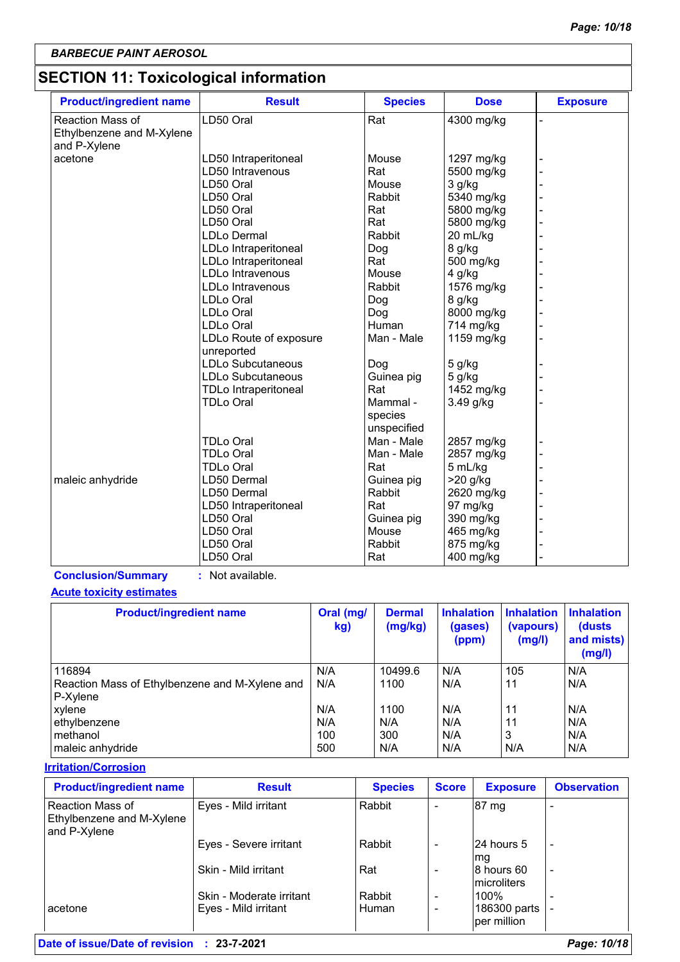# **SECTION 11: Toxicological information**

| <b>Product/ingredient name</b>                       | <b>Result</b>                        | <b>Species</b> | <b>Dose</b> | <b>Exposure</b> |
|------------------------------------------------------|--------------------------------------|----------------|-------------|-----------------|
| <b>Reaction Mass of</b><br>Ethylbenzene and M-Xylene | LD50 Oral                            | Rat            | 4300 mg/kg  |                 |
| and P-Xylene                                         |                                      |                |             |                 |
| acetone                                              | LD50 Intraperitoneal                 | Mouse          | 1297 mg/kg  |                 |
|                                                      | LD50 Intravenous                     | Rat            | 5500 mg/kg  |                 |
|                                                      | LD50 Oral                            | Mouse          | 3 g/kg      |                 |
|                                                      | LD50 Oral                            | Rabbit         | 5340 mg/kg  |                 |
|                                                      | LD50 Oral                            | Rat            | 5800 mg/kg  |                 |
|                                                      | LD50 Oral                            | Rat            | 5800 mg/kg  |                 |
|                                                      | <b>LDLo Dermal</b>                   | Rabbit         | 20 mL/kg    |                 |
|                                                      | LDLo Intraperitoneal                 | Dog            | 8 g/kg      |                 |
|                                                      | LDLo Intraperitoneal                 | Rat            | 500 mg/kg   |                 |
|                                                      | <b>LDLo Intravenous</b>              | Mouse          | 4 g/kg      |                 |
|                                                      | LDLo Intravenous                     | Rabbit         | 1576 mg/kg  |                 |
|                                                      | LDLo Oral                            | Dog            | 8 g/kg      |                 |
|                                                      | <b>LDLo Oral</b>                     | Dog            | 8000 mg/kg  |                 |
|                                                      | LDLo Oral                            | Human          | 714 mg/kg   |                 |
|                                                      | LDLo Route of exposure<br>unreported | Man - Male     | 1159 mg/kg  |                 |
|                                                      | <b>LDLo Subcutaneous</b>             | Dog            | 5 g/kg      |                 |
|                                                      | LDLo Subcutaneous                    | Guinea pig     | 5 g/kg      |                 |
|                                                      | <b>TDLo Intraperitoneal</b>          | Rat            | 1452 mg/kg  |                 |
|                                                      | TDLo Oral                            | Mammal -       | 3.49 g/kg   |                 |
|                                                      |                                      | species        |             |                 |
|                                                      |                                      | unspecified    |             |                 |
|                                                      | <b>TDLo Oral</b>                     | Man - Male     | 2857 mg/kg  |                 |
|                                                      | <b>TDLo Oral</b>                     | Man - Male     | 2857 mg/kg  |                 |
|                                                      | <b>TDLo Oral</b>                     | Rat            | 5 mL/kg     |                 |
| maleic anhydride                                     | LD50 Dermal                          | Guinea pig     | $>20$ g/kg  |                 |
|                                                      | LD50 Dermal                          | Rabbit         | 2620 mg/kg  |                 |
|                                                      | LD50 Intraperitoneal                 | Rat            | 97 mg/kg    |                 |
|                                                      | LD50 Oral                            | Guinea pig     | 390 mg/kg   |                 |
|                                                      | LD50 Oral                            | Mouse          | 465 mg/kg   |                 |
|                                                      | LD50 Oral                            | Rabbit         | 875 mg/kg   |                 |
|                                                      | LD50 Oral                            | Rat            | 400 mg/kg   |                 |

**Conclusion/Summary :** Not available.

### **Acute toxicity estimates**

| <b>Product/ingredient name</b>                 | Oral (mg/<br>kg) | <b>Dermal</b><br>(mg/kg) | <b>Inhalation</b><br>(gases)<br>(ppm) | <b>Inhalation</b><br>(vapours)<br>(mg/l) | <b>Inhalation</b><br>(dusts)<br>and mists)<br>(mg/l) |
|------------------------------------------------|------------------|--------------------------|---------------------------------------|------------------------------------------|------------------------------------------------------|
| 116894                                         | N/A              | 10499.6                  | N/A                                   | 105                                      | N/A                                                  |
| Reaction Mass of Ethylbenzene and M-Xylene and | N/A              | 1100                     | N/A                                   | 11                                       | N/A                                                  |
| P-Xylene                                       |                  |                          |                                       |                                          |                                                      |
| xylene                                         | N/A              | 1100                     | N/A                                   | 11                                       | N/A                                                  |
| ethylbenzene                                   | N/A              | N/A                      | N/A                                   | 11                                       | I N/A                                                |
| methanol                                       | 100              | 300                      | N/A                                   | 3                                        | N/A                                                  |
| maleic anhydride                               | 500              | N/A                      | N/A                                   | N/A                                      | I N/A                                                |

### **Irritation/Corrosion**

| <b>Product/ingredient name</b>                                       | <b>Result</b>            | <b>Species</b> | <b>Score</b> | <b>Exposure</b>             | <b>Observation</b> |
|----------------------------------------------------------------------|--------------------------|----------------|--------------|-----------------------------|--------------------|
| Reaction Mass of<br><b>Ethylbenzene and M-Xylene</b><br>and P-Xylene | Eyes - Mild irritant     | Rabbit         | ٠            | 87 mg                       |                    |
|                                                                      | Eyes - Severe irritant   | Rabbit         | ۰            | 24 hours 5<br>lmg           | -                  |
|                                                                      | Skin - Mild irritant     | Rat            | -            | l8 hours 60<br>microliters  |                    |
|                                                                      | Skin - Moderate irritant | Rabbit         | ۰            | 100%                        |                    |
| l acetone                                                            | Eyes - Mild irritant     | Human          | ۰            | 186300 parts<br>per million |                    |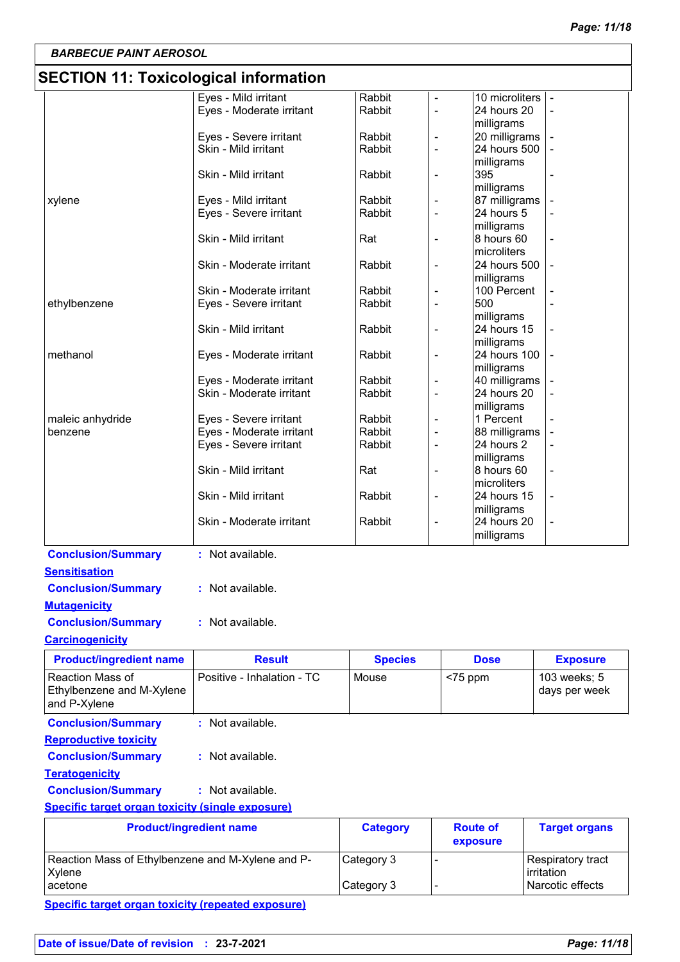# **SECTION 11: Toxicological information**

| <b>SLOTION TT. TUAICOIOGICAI IIIIUITIIAUUII</b>         |                                                |                  |                              |                               |                      |
|---------------------------------------------------------|------------------------------------------------|------------------|------------------------------|-------------------------------|----------------------|
|                                                         | Eyes - Mild irritant                           | Rabbit           |                              | 10 microliters                |                      |
|                                                         | Eyes - Moderate irritant                       | Rabbit           | ÷,                           | 24 hours 20                   |                      |
|                                                         |                                                |                  |                              | milligrams                    |                      |
|                                                         | Eyes - Severe irritant<br>Skin - Mild irritant | Rabbit<br>Rabbit | $\qquad \qquad \blacksquare$ | 20 milligrams<br>24 hours 500 |                      |
|                                                         |                                                |                  | $\blacksquare$               | milligrams                    |                      |
|                                                         | Skin - Mild irritant                           | Rabbit           | $\overline{\phantom{a}}$     | 395                           |                      |
|                                                         |                                                |                  |                              | milligrams                    |                      |
| xylene                                                  | Eyes - Mild irritant                           | Rabbit           |                              | 87 milligrams                 |                      |
|                                                         | Eyes - Severe irritant                         | Rabbit           | $\overline{\phantom{a}}$     | 24 hours 5                    |                      |
|                                                         |                                                |                  |                              | milligrams                    |                      |
|                                                         | Skin - Mild irritant                           | Rat              | $\overline{\phantom{a}}$     | 8 hours 60                    |                      |
|                                                         |                                                |                  |                              | microliters                   |                      |
|                                                         | Skin - Moderate irritant                       | Rabbit           | ۰                            | 24 hours 500                  |                      |
|                                                         |                                                |                  |                              | milligrams                    |                      |
|                                                         | Skin - Moderate irritant                       | Rabbit<br>Rabbit |                              | 100 Percent<br>500            |                      |
| ethylbenzene                                            | Eyes - Severe irritant                         |                  |                              | milligrams                    |                      |
|                                                         | Skin - Mild irritant                           | Rabbit           | $\blacksquare$               | 24 hours 15                   |                      |
|                                                         |                                                |                  |                              | milligrams                    |                      |
| methanol                                                | Eyes - Moderate irritant                       | Rabbit           | $\overline{a}$               | 24 hours 100                  |                      |
|                                                         |                                                |                  |                              | milligrams                    |                      |
|                                                         | Eyes - Moderate irritant                       | Rabbit           |                              | 40 milligrams                 |                      |
|                                                         | Skin - Moderate irritant                       | Rabbit           |                              | 24 hours 20                   |                      |
|                                                         |                                                |                  |                              | milligrams                    |                      |
| maleic anhydride                                        | Eyes - Severe irritant                         | Rabbit           |                              | 1 Percent                     |                      |
| benzene                                                 | Eyes - Moderate irritant                       | Rabbit           | $\overline{a}$               | 88 milligrams                 |                      |
|                                                         | Eyes - Severe irritant                         | Rabbit           | $\overline{\phantom{a}}$     | 24 hours 2                    |                      |
|                                                         |                                                |                  |                              | milligrams                    |                      |
|                                                         | Skin - Mild irritant                           | Rat              | $\overline{\phantom{a}}$     | 8 hours 60                    |                      |
|                                                         |                                                |                  |                              | microliters                   |                      |
|                                                         | Skin - Mild irritant                           | Rabbit           | $\overline{\phantom{a}}$     | 24 hours 15<br>milligrams     |                      |
|                                                         | Skin - Moderate irritant                       | Rabbit           | ÷,                           | 24 hours 20                   |                      |
|                                                         |                                                |                  |                              | milligrams                    |                      |
|                                                         |                                                |                  |                              |                               |                      |
| <b>Conclusion/Summary</b>                               | : Not available.                               |                  |                              |                               |                      |
| <b>Sensitisation</b>                                    |                                                |                  |                              |                               |                      |
| <b>Conclusion/Summary</b>                               | : Not available.                               |                  |                              |                               |                      |
| <b>Mutagenicity</b>                                     |                                                |                  |                              |                               |                      |
| <b>Conclusion/Summary</b>                               | : Not available.                               |                  |                              |                               |                      |
|                                                         |                                                |                  |                              |                               |                      |
| <b>Carcinogenicity</b>                                  |                                                |                  |                              |                               |                      |
| <b>Product/ingredient name</b>                          | <b>Result</b>                                  | <b>Species</b>   |                              | <b>Dose</b>                   | <b>Exposure</b>      |
| Reaction Mass of                                        | Positive - Inhalation - TC                     | Mouse            | $<$ 75 ppm                   |                               | 103 weeks; 5         |
| Ethylbenzene and M-Xylene                               |                                                |                  |                              |                               | days per week        |
| and P-Xylene                                            |                                                |                  |                              |                               |                      |
| <b>Conclusion/Summary</b>                               | : Not available.                               |                  |                              |                               |                      |
| <b>Reproductive toxicity</b>                            |                                                |                  |                              |                               |                      |
|                                                         |                                                |                  |                              |                               |                      |
| <b>Conclusion/Summary</b>                               | : Not available.                               |                  |                              |                               |                      |
| <b>Teratogenicity</b>                                   |                                                |                  |                              |                               |                      |
| <b>Conclusion/Summary</b>                               | : Not available.                               |                  |                              |                               |                      |
| <b>Specific target organ toxicity (single exposure)</b> |                                                |                  |                              |                               |                      |
|                                                         |                                                |                  |                              | <b>Route of</b>               |                      |
|                                                         | <b>Product/ingredient name</b>                 | <b>Category</b>  |                              |                               | <b>Target organs</b> |
|                                                         |                                                |                  |                              | exposure                      |                      |
| Reaction Mass of Ethylbenzene and M-Xylene and P-       |                                                | Category 3       | $\blacksquare$               |                               | Respiratory tract    |
| Xylene                                                  |                                                |                  |                              |                               | irritation           |

acetone Category 3 - Narcotic effects

**Specific target organ toxicity (repeated exposure)**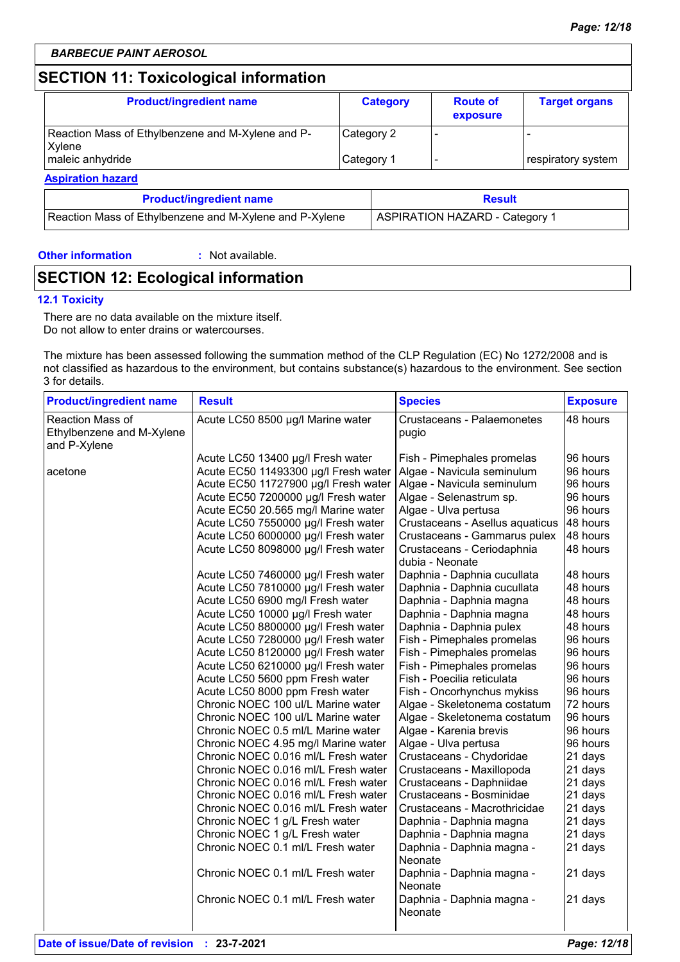# **SECTION 11: Toxicological information**

| <b>Category</b> | <b>Route of</b><br>exposure | <b>Target organs</b> |
|-----------------|-----------------------------|----------------------|
| Category 2      |                             |                      |
| Category 1      |                             | respiratory system   |
|                 |                             |                      |

| <b>Product/ingredient name</b>                          | <b>Result</b>                  |  |
|---------------------------------------------------------|--------------------------------|--|
| Reaction Mass of Ethylbenzene and M-Xylene and P-Xylene | ASPIRATION HAZARD - Category 1 |  |

### **Other information :**

: Not available.

# **SECTION 12: Ecological information**

### **12.1 Toxicity**

There are no data available on the mixture itself. Do not allow to enter drains or watercourses.

The mixture has been assessed following the summation method of the CLP Regulation (EC) No 1272/2008 and is not classified as hazardous to the environment, but contains substance(s) hazardous to the environment. See section 3 for details.

| <b>Product/ingredient name</b>                                | <b>Result</b>                        | <b>Species</b>                                | <b>Exposure</b> |
|---------------------------------------------------------------|--------------------------------------|-----------------------------------------------|-----------------|
| Reaction Mass of<br>Ethylbenzene and M-Xylene<br>and P-Xylene | Acute LC50 8500 µg/l Marine water    | <b>Crustaceans - Palaemonetes</b><br>pugio    | 48 hours        |
|                                                               | Acute LC50 13400 µg/l Fresh water    | Fish - Pimephales promelas                    | 96 hours        |
| acetone                                                       | Acute EC50 11493300 µg/l Fresh water | Algae - Navicula seminulum                    | 96 hours        |
|                                                               | Acute EC50 11727900 µg/l Fresh water | Algae - Navicula seminulum                    | 96 hours        |
|                                                               | Acute EC50 7200000 µg/l Fresh water  | Algae - Selenastrum sp.                       | 96 hours        |
|                                                               | Acute EC50 20.565 mg/l Marine water  | Algae - Ulva pertusa                          | 96 hours        |
|                                                               | Acute LC50 7550000 µg/l Fresh water  | Crustaceans - Asellus aquaticus               | 48 hours        |
|                                                               | Acute LC50 6000000 µg/l Fresh water  | Crustaceans - Gammarus pulex                  | 48 hours        |
|                                                               | Acute LC50 8098000 µg/l Fresh water  | Crustaceans - Ceriodaphnia<br>dubia - Neonate | 48 hours        |
|                                                               | Acute LC50 7460000 µg/l Fresh water  | Daphnia - Daphnia cucullata                   | 48 hours        |
|                                                               | Acute LC50 7810000 µg/l Fresh water  | Daphnia - Daphnia cucullata                   | 48 hours        |
|                                                               | Acute LC50 6900 mg/l Fresh water     | Daphnia - Daphnia magna                       | 48 hours        |
|                                                               | Acute LC50 10000 µg/l Fresh water    | Daphnia - Daphnia magna                       | 48 hours        |
|                                                               | Acute LC50 8800000 µg/l Fresh water  | Daphnia - Daphnia pulex                       | 48 hours        |
|                                                               | Acute LC50 7280000 µg/l Fresh water  | Fish - Pimephales promelas                    | 96 hours        |
|                                                               | Acute LC50 8120000 µg/l Fresh water  | Fish - Pimephales promelas                    | 96 hours        |
|                                                               | Acute LC50 6210000 µg/l Fresh water  | Fish - Pimephales promelas                    | 96 hours        |
|                                                               | Acute LC50 5600 ppm Fresh water      | Fish - Poecilia reticulata                    | 96 hours        |
|                                                               | Acute LC50 8000 ppm Fresh water      | Fish - Oncorhynchus mykiss                    | 96 hours        |
|                                                               | Chronic NOEC 100 ul/L Marine water   | Algae - Skeletonema costatum                  | 72 hours        |
|                                                               | Chronic NOEC 100 ul/L Marine water   | Algae - Skeletonema costatum                  | 96 hours        |
|                                                               | Chronic NOEC 0.5 ml/L Marine water   | Algae - Karenia brevis                        | 96 hours        |
|                                                               | Chronic NOEC 4.95 mg/l Marine water  | Algae - Ulva pertusa                          | 96 hours        |
|                                                               | Chronic NOEC 0.016 ml/L Fresh water  | Crustaceans - Chydoridae                      | 21 days         |
|                                                               | Chronic NOEC 0.016 ml/L Fresh water  | Crustaceans - Maxillopoda                     | 21 days         |
|                                                               | Chronic NOEC 0.016 ml/L Fresh water  | Crustaceans - Daphniidae                      | 21 days         |
|                                                               | Chronic NOEC 0.016 ml/L Fresh water  | Crustaceans - Bosminidae                      | 21 days         |
|                                                               | Chronic NOEC 0.016 ml/L Fresh water  | Crustaceans - Macrothricidae                  | 21 days         |
|                                                               | Chronic NOEC 1 g/L Fresh water       | Daphnia - Daphnia magna                       | 21 days         |
|                                                               | Chronic NOEC 1 g/L Fresh water       | Daphnia - Daphnia magna                       | 21 days         |
|                                                               | Chronic NOEC 0.1 ml/L Fresh water    | Daphnia - Daphnia magna -<br>Neonate          | 21 days         |
|                                                               | Chronic NOEC 0.1 ml/L Fresh water    | Daphnia - Daphnia magna -<br>Neonate          | 21 days         |
|                                                               | Chronic NOEC 0.1 ml/L Fresh water    | Daphnia - Daphnia magna -<br>Neonate          | 21 days         |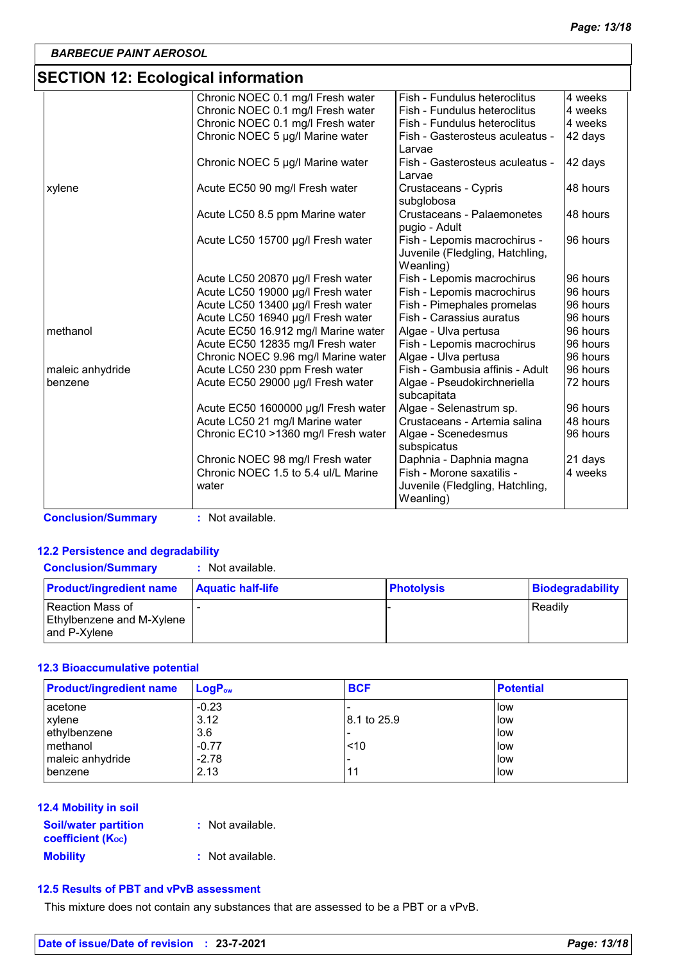# **SECTION 12: Ecological information**

| Fish - Fundulus heteroclitus<br>4 weeks<br>Fish - Fundulus heteroclitus<br>4 weeks<br>Fish - Fundulus heteroclitus<br>4 weeks |
|-------------------------------------------------------------------------------------------------------------------------------|
|                                                                                                                               |
|                                                                                                                               |
|                                                                                                                               |
| 42 days<br>Fish - Gasterosteus aculeatus -                                                                                    |
|                                                                                                                               |
| Fish - Gasterosteus aculeatus -<br>42 days                                                                                    |
|                                                                                                                               |
| Crustaceans - Cypris<br>48 hours                                                                                              |
|                                                                                                                               |
| Crustaceans - Palaemonetes<br>48 hours                                                                                        |
|                                                                                                                               |
| Fish - Lepomis macrochirus -<br>96 hours                                                                                      |
| Juvenile (Fledgling, Hatchling,                                                                                               |
|                                                                                                                               |
| 96 hours<br>Fish - Lepomis macrochirus                                                                                        |
| Fish - Lepomis macrochirus<br>96 hours                                                                                        |
| Fish - Pimephales promelas<br>96 hours                                                                                        |
| Fish - Carassius auratus<br>96 hours                                                                                          |
| 96 hours<br>Algae - Ulva pertusa                                                                                              |
| 96 hours<br>Fish - Lepomis macrochirus                                                                                        |
| 96 hours<br>Algae - Ulva pertusa                                                                                              |
| Fish - Gambusia affinis - Adult<br>96 hours                                                                                   |
| 72 hours<br>Algae - Pseudokirchneriella                                                                                       |
|                                                                                                                               |
| Algae - Selenastrum sp.<br>96 hours                                                                                           |
| Crustaceans - Artemia salina<br>48 hours                                                                                      |
| 96 hours<br>Algae - Scenedesmus                                                                                               |
|                                                                                                                               |
| Daphnia - Daphnia magna<br>21 days                                                                                            |
| Fish - Morone saxatilis -<br>4 weeks                                                                                          |
| Juvenile (Fledgling, Hatchling,                                                                                               |
|                                                                                                                               |
|                                                                                                                               |

**Conclusion/Summary :** Not available.

### **12.2 Persistence and degradability**

| <b>Conclusion/Summary</b> | : Not available. |
|---------------------------|------------------|
|                           |                  |

| <b>Product/ingredient name</b>                                       | <b>Aquatic half-life</b> | <b>Photolysis</b> | Biodegradability |
|----------------------------------------------------------------------|--------------------------|-------------------|------------------|
| <b>Reaction Mass of</b><br>Ethylbenzene and M-Xylene<br>and P-Xvlene |                          |                   | Readily          |

### **12.3 Bioaccumulative potential**

| <b>Product/ingredient name</b> | $LogP_{ow}$ | <b>BCF</b>  | <b>Potential</b> |
|--------------------------------|-------------|-------------|------------------|
| acetone                        | $-0.23$     |             | l low            |
| xylene                         | 3.12        | 8.1 to 25.9 | low              |
| ethylbenzene                   | 3.6         |             | low              |
| l methanol                     | $-0.77$     | ~10         | low              |
| maleic anhydride               | $-2.78$     |             | low              |
| <b>benzene</b>                 | 2.13        |             | low              |

### **12.4 Mobility in soil**

| <b>Soil/water partition</b> |  |
|-----------------------------|--|
| <b>coefficient (Koc)</b>    |  |
| <b>Mobility</b>             |  |

**:** Not available.

**:** Not available.

### **12.5 Results of PBT and vPvB assessment**

This mixture does not contain any substances that are assessed to be a PBT or a vPvB.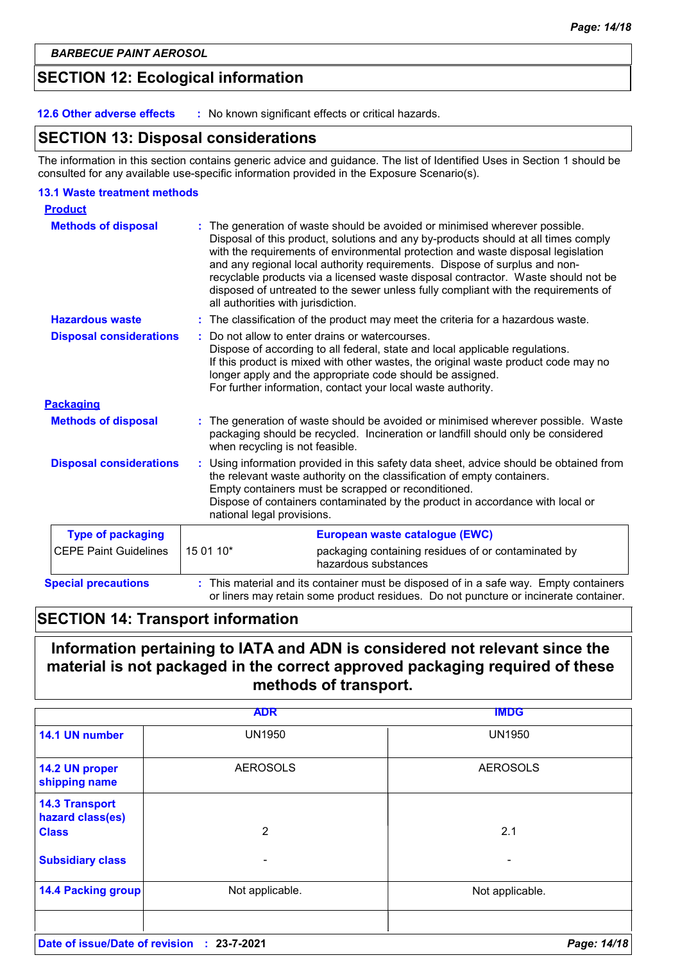# **SECTION 12: Ecological information**

**12.6 Other adverse effects :** No known significant effects or critical hazards.

### **SECTION 13: Disposal considerations**

The information in this section contains generic advice and guidance. The list of Identified Uses in Section 1 should be consulted for any available use-specific information provided in the Exposure Scenario(s).

### **13.1 Waste treatment methods**

| <b>Product</b>                 |                                                                                                                                                                                                                                                                                                                                                                                                                                                                                                                                                    |
|--------------------------------|----------------------------------------------------------------------------------------------------------------------------------------------------------------------------------------------------------------------------------------------------------------------------------------------------------------------------------------------------------------------------------------------------------------------------------------------------------------------------------------------------------------------------------------------------|
| <b>Methods of disposal</b>     | The generation of waste should be avoided or minimised wherever possible.<br>Disposal of this product, solutions and any by-products should at all times comply<br>with the requirements of environmental protection and waste disposal legislation<br>and any regional local authority requirements. Dispose of surplus and non-<br>recyclable products via a licensed waste disposal contractor. Waste should not be<br>disposed of untreated to the sewer unless fully compliant with the requirements of<br>all authorities with jurisdiction. |
| <b>Hazardous waste</b>         | : The classification of the product may meet the criteria for a hazardous waste.                                                                                                                                                                                                                                                                                                                                                                                                                                                                   |
| <b>Disposal considerations</b> | Do not allow to enter drains or watercourses.<br>Dispose of according to all federal, state and local applicable regulations.<br>If this product is mixed with other wastes, the original waste product code may no<br>longer apply and the appropriate code should be assigned.<br>For further information, contact your local waste authority.                                                                                                                                                                                                   |
| <b>Packaging</b>               |                                                                                                                                                                                                                                                                                                                                                                                                                                                                                                                                                    |
| <b>Methods of disposal</b>     | The generation of waste should be avoided or minimised wherever possible. Waste<br>packaging should be recycled. Incineration or landfill should only be considered<br>when recycling is not feasible.                                                                                                                                                                                                                                                                                                                                             |
| <b>Disposal considerations</b> | Using information provided in this safety data sheet, advice should be obtained from<br>the relevant waste authority on the classification of empty containers.<br>Empty containers must be scrapped or reconditioned.<br>Dispose of containers contaminated by the product in accordance with local or<br>national legal provisions.                                                                                                                                                                                                              |
| <b>Type of packaging</b>       | European waste catalogue (EWC)                                                                                                                                                                                                                                                                                                                                                                                                                                                                                                                     |
| <b>CEPE Paint Guidelines</b>   | 15 01 10*<br>packaging containing residues of or contaminated by<br>hazardous substances                                                                                                                                                                                                                                                                                                                                                                                                                                                           |
| <b>Special precautions</b>     | : This material and its container must be disposed of in a safe way. Empty containers<br>or liners may retain some product residues. Do not puncture or incinerate container.                                                                                                                                                                                                                                                                                                                                                                      |

# **SECTION 14: Transport information**

# **Information pertaining to IATA and ADN is considered not relevant since the material is not packaged in the correct approved packaging required of these methods of transport.**

|                                                           | <b>ADR</b>      | <b>IMDG</b>     |
|-----------------------------------------------------------|-----------------|-----------------|
| 14.1 UN number                                            | <b>UN1950</b>   | <b>UN1950</b>   |
| 14.2 UN proper<br>shipping name                           | <b>AEROSOLS</b> | <b>AEROSOLS</b> |
| <b>14.3 Transport</b><br>hazard class(es)<br><b>Class</b> | 2               | 2.1             |
| <b>Subsidiary class</b>                                   | ۰               |                 |
| <b>14.4 Packing group</b>                                 | Not applicable. | Not applicable. |
| Date of issue/Date of revision : 23-7-2021                |                 | Page: 14/18     |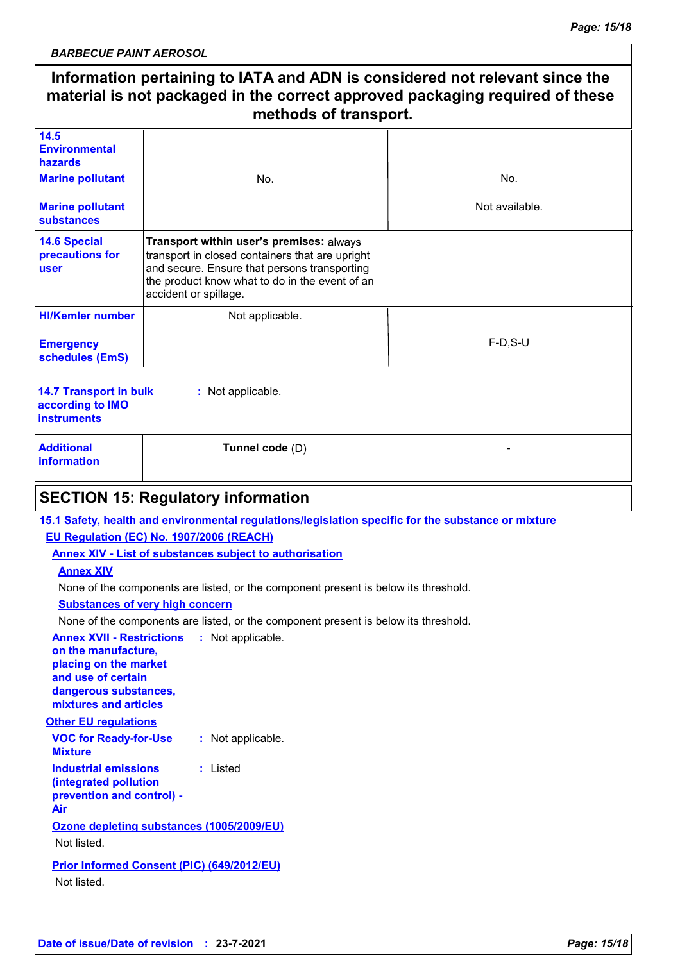### **Information pertaining to IATA and ADN is considered not relevant since the material is not packaged in the correct approved packaging required of these methods of transport.** Not applicable. F-D,S-U **HI/Kemler number 14.5 Environmental hazards 14.6 Special precautions for user :** Not applicable. **Emergency schedules (EmS) Marine pollutant Marine pollutant substances** No. Not available. **Additional information Tunnel code** (D) No. **Transport within user's premises:** always transport in closed containers that are upright and secure. Ensure that persons transporting the product know what to do in the event of an accident or spillage. **14.7 Transport in bulk according to IMO instruments SECTION 15: Regulatory information VOC for Ready-for-Use Mixture :** Not applicable. **15.1 Safety, health and environmental regulations/legislation specific for the substance or mixture Other EU regulations Annex XVII - Restrictions : Not applicable. on the manufacture, placing on the market and use of certain dangerous substances, mixtures and articles Industrial emissions (integrated pollution prevention and control) - Air :** Listed **EU Regulation (EC) No. 1907/2006 (REACH) Annex XIV - List of substances subject to authorisation Annex XIV Substances of very high concern** None of the components are listed, or the component present is below its threshold. None of the components are listed, or the component present is below its threshold. **Ozone depleting substances (1005/2009/EU)** Not listed. **Prior Informed Consent (PIC) (649/2012/EU)** Not listed.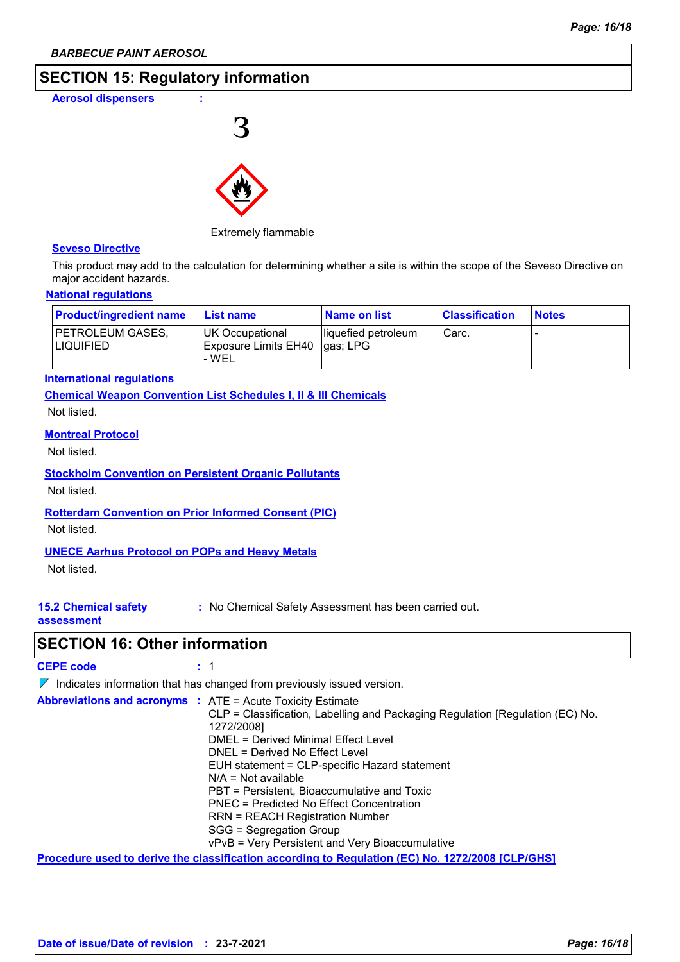# **SECTION 15: Regulatory information**

**Aerosol dispensers : 3** 



### Extremely flammable

### **Seveso Directive**

This product may add to the calculation for determining whether a site is within the scope of the Seveso Directive on major accident hazards.

### **National regulations**

| <b>Product/ingredient name</b>  | <b>List name</b>                                           | Name on list         | <b>Classification</b> | <b>Notes</b> |
|---------------------------------|------------------------------------------------------------|----------------------|-----------------------|--------------|
| IPETROLEUM GASES.<br>ILIQUIFIED | UK Occupational<br>Exposure Limits EH40  gas; LPG<br>l-WEL | lliquefied petroleum | Carc.                 |              |

### **International regulations**

**Chemical Weapon Convention List Schedules I, II & III Chemicals**

Not listed.

### **Montreal Protocol**

Not listed.

### **Stockholm Convention on Persistent Organic Pollutants**

Not listed.

### **Rotterdam Convention on Prior Informed Consent (PIC)**

Not listed.

### **UNECE Aarhus Protocol on POPs and Heavy Metals**

Not listed.

**:** No Chemical Safety Assessment has been carried out.

### **assessment**

**15.2 Chemical safety** 

### **SECTION 16: Other information**

**CEPE code :** 1

 $\nabla$  Indicates information that has changed from previously issued version.

| <b>Abbreviations and acronyms : ATE = Acute Toxicity Estimate</b> | CLP = Classification, Labelling and Packaging Regulation [Regulation (EC) No.<br>1272/2008]<br>DMEL = Derived Minimal Effect Level<br>DNEL = Derived No Effect Level<br>EUH statement = CLP-specific Hazard statement<br>$N/A = Not available$<br>PBT = Persistent, Bioaccumulative and Toxic<br>PNEC = Predicted No Effect Concentration<br><b>RRN = REACH Registration Number</b><br>SGG = Segregation Group<br>vPvB = Very Persistent and Very Bioaccumulative |
|-------------------------------------------------------------------|-------------------------------------------------------------------------------------------------------------------------------------------------------------------------------------------------------------------------------------------------------------------------------------------------------------------------------------------------------------------------------------------------------------------------------------------------------------------|
|                                                                   | Procedure used to derive the classification according to Regulation (EC) No. 1272/2008 [CLP/GHS]                                                                                                                                                                                                                                                                                                                                                                  |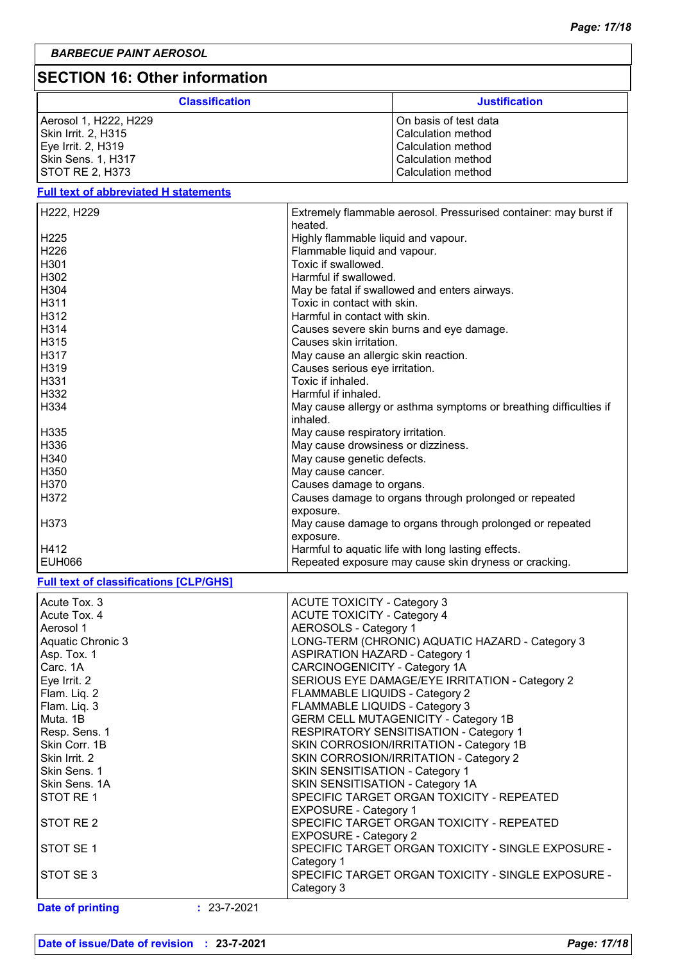# **SECTION 16: Other information**

| <b>Classification</b> | <b>Justification</b>  |
|-----------------------|-----------------------|
| Aerosol 1, H222, H229 | On basis of test data |
| Skin Irrit. 2, H315   | Calculation method    |
| Eye Irrit. 2, H319    | Calculation method    |
| Skin Sens. 1, H317    | Calculation method    |
| ISTOT RE 2. H373      | Calculation method    |

### **Full text of abbreviated H statements**

| H222, H229                                    | Extremely flammable aerosol. Pressurised container: may burst if  |
|-----------------------------------------------|-------------------------------------------------------------------|
|                                               | heated.                                                           |
| H225                                          | Highly flammable liquid and vapour.                               |
| H226                                          | Flammable liquid and vapour.                                      |
| H301                                          | Toxic if swallowed.                                               |
| H302                                          | Harmful if swallowed.                                             |
| H304                                          |                                                                   |
|                                               | May be fatal if swallowed and enters airways.                     |
| H311                                          | Toxic in contact with skin.                                       |
| H312                                          | Harmful in contact with skin.                                     |
| H314                                          | Causes severe skin burns and eye damage.                          |
| H315                                          | Causes skin irritation.                                           |
| H317                                          | May cause an allergic skin reaction.                              |
| H319                                          | Causes serious eye irritation.                                    |
| H331                                          | Toxic if inhaled.                                                 |
| H332                                          | Harmful if inhaled.                                               |
|                                               |                                                                   |
| H334                                          | May cause allergy or asthma symptoms or breathing difficulties if |
|                                               | inhaled.                                                          |
| H335                                          | May cause respiratory irritation.                                 |
| H336                                          | May cause drowsiness or dizziness.                                |
| H340                                          | May cause genetic defects.                                        |
| H350                                          | May cause cancer.                                                 |
| H370                                          | Causes damage to organs.                                          |
| H372                                          | Causes damage to organs through prolonged or repeated             |
|                                               | exposure.                                                         |
| H373                                          |                                                                   |
|                                               | May cause damage to organs through prolonged or repeated          |
|                                               | exposure.                                                         |
| H412                                          | Harmful to aquatic life with long lasting effects.                |
| <b>EUH066</b>                                 | Repeated exposure may cause skin dryness or cracking.             |
|                                               |                                                                   |
| <b>Full text of classifications [CLP/GHS]</b> |                                                                   |
|                                               |                                                                   |
| Acute Tox. 3                                  | <b>ACUTE TOXICITY - Category 3</b>                                |
| Acute Tox. 4                                  | <b>ACUTE TOXICITY - Category 4</b>                                |
| Aerosol 1                                     | <b>AEROSOLS - Category 1</b>                                      |
| <b>Aquatic Chronic 3</b>                      | LONG-TERM (CHRONIC) AQUATIC HAZARD - Category 3                   |
| Asp. Tox. 1                                   | <b>ASPIRATION HAZARD - Category 1</b>                             |
| Carc. 1A                                      | CARCINOGENICITY - Category 1A                                     |
| Eye Irrit. 2                                  | SERIOUS EYE DAMAGE/EYE IRRITATION - Category 2                    |
|                                               |                                                                   |
| Flam. Liq. 2                                  | FLAMMABLE LIQUIDS - Category 2                                    |
| Flam. Liq. 3                                  | FLAMMABLE LIQUIDS - Category 3                                    |
| Muta. 1B                                      | <b>GERM CELL MUTAGENICITY - Category 1B</b>                       |
| Resp. Sens. 1                                 | RESPIRATORY SENSITISATION - Category 1                            |
| Skin Corr. 1B                                 | SKIN CORROSION/IRRITATION - Category 1B                           |
| Skin Irrit. 2                                 | SKIN CORROSION/IRRITATION - Category 2                            |
| Skin Sens. 1                                  | SKIN SENSITISATION - Category 1                                   |
| Skin Sens. 1A                                 | SKIN SENSITISATION - Category 1A                                  |
| STOT RE1                                      | SPECIFIC TARGET ORGAN TOXICITY - REPEATED                         |
|                                               | <b>EXPOSURE - Category 1</b>                                      |
| STOT RE <sub>2</sub>                          | SPECIFIC TARGET ORGAN TOXICITY - REPEATED                         |
|                                               |                                                                   |
|                                               | <b>EXPOSURE - Category 2</b>                                      |
| STOT SE 1                                     | SPECIFIC TARGET ORGAN TOXICITY - SINGLE EXPOSURE -                |
|                                               | Category 1                                                        |
| STOT SE3                                      | SPECIFIC TARGET ORGAN TOXICITY - SINGLE EXPOSURE -<br>Category 3  |

**Date of printing :** 23-7-2021